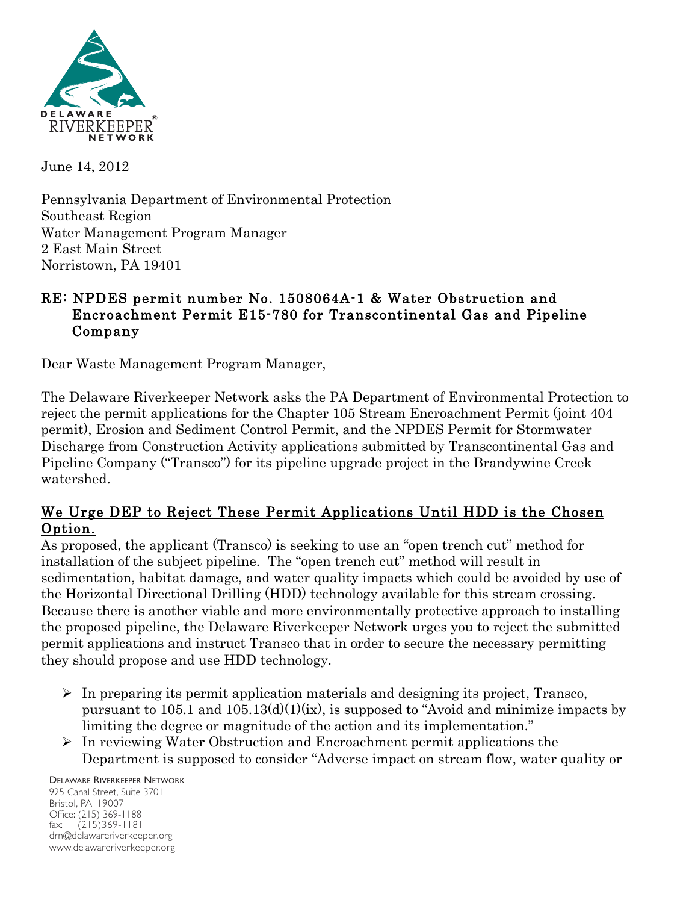

June 14, 2012

Pennsylvania Department of Environmental Protection Southeast Region Water Management Program Manager 2 East Main Street Norristown, PA 19401

#### RE: NPDES permit number No. 1508064A-1 & Water Obstruction and Encroachment Permit E15-780 for Transcontinental Gas and Pipeline Company

Dear Waste Management Program Manager,

The Delaware Riverkeeper Network asks the PA Department of Environmental Protection to reject the permit applications for the Chapter 105 Stream Encroachment Permit (joint 404 permit), Erosion and Sediment Control Permit, and the NPDES Permit for Stormwater Discharge from Construction Activity applications submitted by Transcontinental Gas and Pipeline Company ("Transco") for its pipeline upgrade project in the Brandywine Creek watershed.

### We Urge DEP to Reject These Permit Applications Until HDD is the Chosen Option.

As proposed, the applicant (Transco) is seeking to use an "open trench cut" method for installation of the subject pipeline. The "open trench cut" method will result in sedimentation, habitat damage, and water quality impacts which could be avoided by use of the Horizontal Directional Drilling (HDD) technology available for this stream crossing. Because there is another viable and more environmentally protective approach to installing the proposed pipeline, the Delaware Riverkeeper Network urges you to reject the submitted permit applications and instruct Transco that in order to secure the necessary permitting they should propose and use HDD technology.

- $\triangleright$  In preparing its permit application materials and designing its project, Transco, pursuant to 105.1 and  $105.13(d)(1)(ix)$ , is supposed to "Avoid and minimize impacts by limiting the degree or magnitude of the action and its implementation."
- $\triangleright$  In reviewing Water Obstruction and Encroachment permit applications the Department is supposed to consider "Adverse impact on stream flow, water quality or

DELAWARE RIVERKEEPER NETWORK 925 Canal Street, Suite 3701 Bristol, PA 19007 Office: (215) 369-1188 fax: (215)369-1181 drn@delawareriverkeeper.org www.delawareriverkeeper.org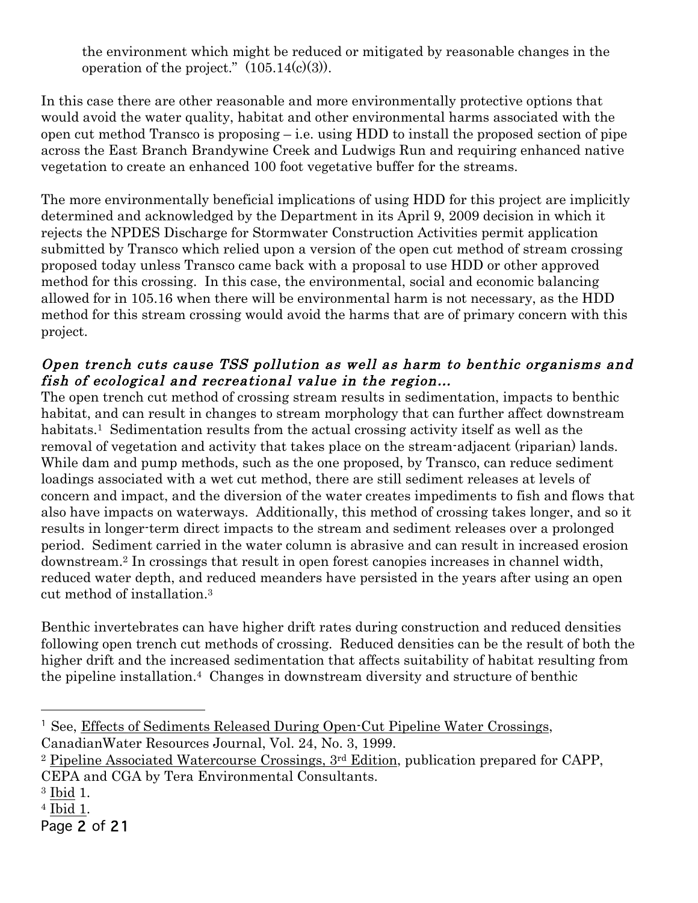the environment which might be reduced or mitigated by reasonable changes in the operation of the project."  $(105.14(c)(3))$ .

In this case there are other reasonable and more environmentally protective options that would avoid the water quality, habitat and other environmental harms associated with the open cut method Transco is proposing  $-$  i.e. using HDD to install the proposed section of pipe across the East Branch Brandywine Creek and Ludwigs Run and requiring enhanced native vegetation to create an enhanced 100 foot vegetative buffer for the streams.

The more environmentally beneficial implications of using HDD for this project are implicitly determined and acknowledged by the Department in its April 9, 2009 decision in which it rejects the NPDES Discharge for Stormwater Construction Activities permit application submitted by Transco which relied upon a version of the open cut method of stream crossing proposed today unless Transco came back with a proposal to use HDD or other approved method for this crossing. In this case, the environmental, social and economic balancing allowed for in 105.16 when there will be environmental harm is not necessary, as the HDD method for this stream crossing would avoid the harms that are of primary concern with this project.

#### Open trench cuts cause TSS pollution as well as harm to benthic organisms and fish of ecological and recreational value in the region…

The open trench cut method of crossing stream results in sedimentation, impacts to benthic habitat, and can result in changes to stream morphology that can further affect downstream habitats.<sup>1</sup> Sedimentation results from the actual crossing activity itself as well as the removal of vegetation and activity that takes place on the stream-adjacent (riparian) lands. While dam and pump methods, such as the one proposed, by Transco, can reduce sediment loadings associated with a wet cut method, there are still sediment releases at levels of concern and impact, and the diversion of the water creates impediments to fish and flows that also have impacts on waterways. Additionally, this method of crossing takes longer, and so it results in longer-term direct impacts to the stream and sediment releases over a prolonged period. Sediment carried in the water column is abrasive and can result in increased erosion downstream.2 In crossings that result in open forest canopies increases in channel width, reduced water depth, and reduced meanders have persisted in the years after using an open cut method of installation.3

Benthic invertebrates can have higher drift rates during construction and reduced densities following open trench cut methods of crossing. Reduced densities can be the result of both the higher drift and the increased sedimentation that affects suitability of habitat resulting from the pipeline installation.4 Changes in downstream diversity and structure of benthic

 $\overline{a}$ 

<sup>1</sup> See, Effects of Sediments Released During Open-Cut Pipeline Water Crossings, CanadianWater Resources Journal, Vol. 24, No. 3, 1999.

<sup>2</sup> Pipeline Associated Watercourse Crossings, 3rd Edition, publication prepared for CAPP, CEPA and CGA by Tera Environmental Consultants.

<sup>3</sup> Ibid 1.

<sup>4</sup> Ibid 1.

Page 2 of 21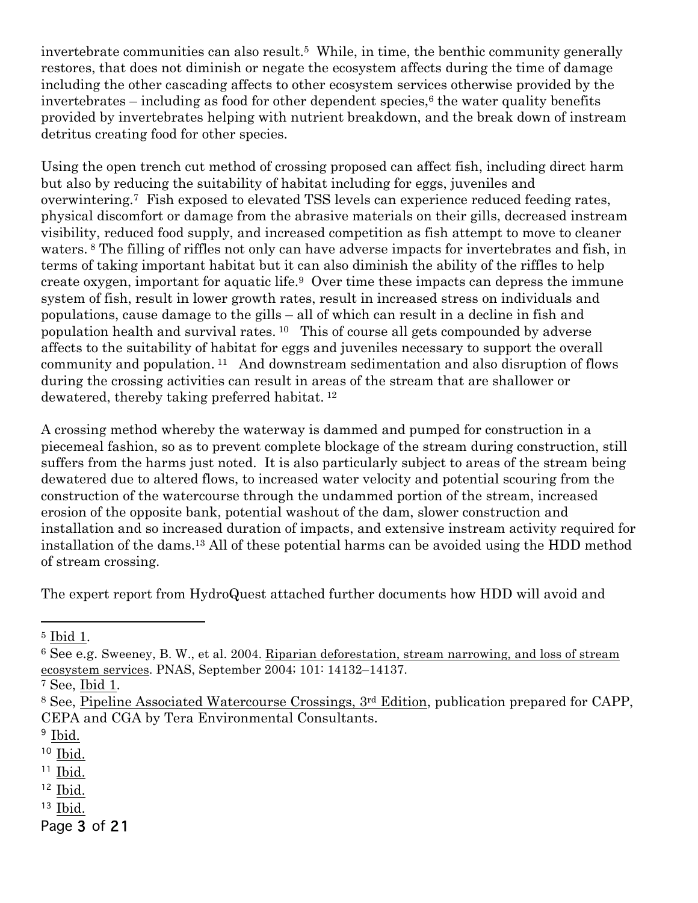invertebrate communities can also result.<sup>5</sup> While, in time, the benthic community generally restores, that does not diminish or negate the ecosystem affects during the time of damage including the other cascading affects to other ecosystem services otherwise provided by the  $invertebrates$  – including as food for other dependent species,<sup> $6$ </sup> the water quality benefits provided by invertebrates helping with nutrient breakdown, and the break down of instream detritus creating food for other species.

Using the open trench cut method of crossing proposed can affect fish, including direct harm but also by reducing the suitability of habitat including for eggs, juveniles and overwintering.7 Fish exposed to elevated TSS levels can experience reduced feeding rates, physical discomfort or damage from the abrasive materials on their gills, decreased instream visibility, reduced food supply, and increased competition as fish attempt to move to cleaner waters. <sup>8</sup> The filling of riffles not only can have adverse impacts for invertebrates and fish, in terms of taking important habitat but it can also diminish the ability of the riffles to help create oxygen, important for aquatic life.9 Over time these impacts can depress the immune system of fish, result in lower growth rates, result in increased stress on individuals and populations, cause damage to the gills – all of which can result in a decline in fish and population health and survival rates. 10 This of course all gets compounded by adverse affects to the suitability of habitat for eggs and juveniles necessary to support the overall community and population. 11 And downstream sedimentation and also disruption of flows during the crossing activities can result in areas of the stream that are shallower or dewatered, thereby taking preferred habitat. 12

A crossing method whereby the waterway is dammed and pumped for construction in a piecemeal fashion, so as to prevent complete blockage of the stream during construction, still suffers from the harms just noted. It is also particularly subject to areas of the stream being dewatered due to altered flows, to increased water velocity and potential scouring from the construction of the watercourse through the undammed portion of the stream, increased erosion of the opposite bank, potential washout of the dam, slower construction and installation and so increased duration of impacts, and extensive instream activity required for installation of the dams.13 All of these potential harms can be avoided using the HDD method of stream crossing.

The expert report from HydroQuest attached further documents how HDD will avoid and

 $\overline{a}$ 

- $11$  Ibid.
- <sup>12</sup> Ibid.
- $13$  Ibid.

Page 3 of 21

<sup>5</sup> Ibid 1.

<sup>6</sup> See e.g. Sweeney, B. W., et al. 2004. Riparian deforestation, stream narrowing, and loss of stream ecosystem services. PNAS, September 2004; 101: 14132–14137.

<sup>7</sup> See, Ibid 1.

<sup>8</sup> See, Pipeline Associated Watercourse Crossings, 3rd Edition, publication prepared for CAPP, CEPA and CGA by Tera Environmental Consultants.

<sup>&</sup>lt;sup>9</sup> Ibid.

 $10$  Ibid.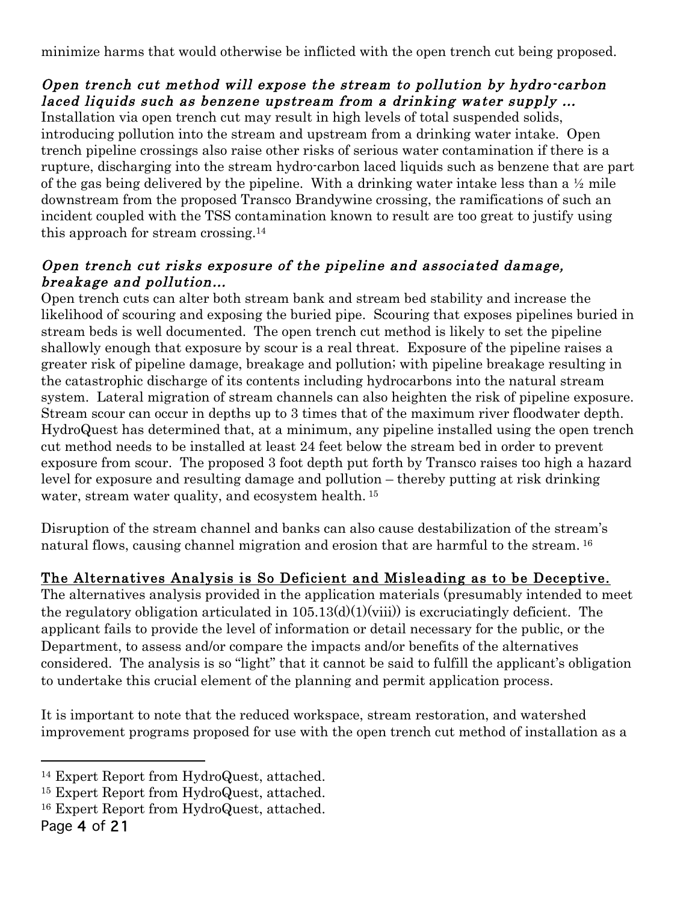minimize harms that would otherwise be inflicted with the open trench cut being proposed.

## Open trench cut method will expose the stream to pollution by hydro-carbon laced liquids such as benzene upstream from a drinking water supply …

Installation via open trench cut may result in high levels of total suspended solids, introducing pollution into the stream and upstream from a drinking water intake. Open trench pipeline crossings also raise other risks of serious water contamination if there is a rupture, discharging into the stream hydro-carbon laced liquids such as benzene that are part of the gas being delivered by the pipeline. With a drinking water intake less than a ½ mile downstream from the proposed Transco Brandywine crossing, the ramifications of such an incident coupled with the TSS contamination known to result are too great to justify using this approach for stream crossing.14

### Open trench cut risks exposure of the pipeline and associated damage, breakage and pollution…

Open trench cuts can alter both stream bank and stream bed stability and increase the likelihood of scouring and exposing the buried pipe. Scouring that exposes pipelines buried in stream beds is well documented. The open trench cut method is likely to set the pipeline shallowly enough that exposure by scour is a real threat. Exposure of the pipeline raises a greater risk of pipeline damage, breakage and pollution; with pipeline breakage resulting in the catastrophic discharge of its contents including hydrocarbons into the natural stream system. Lateral migration of stream channels can also heighten the risk of pipeline exposure. Stream scour can occur in depths up to 3 times that of the maximum river floodwater depth. HydroQuest has determined that, at a minimum, any pipeline installed using the open trench cut method needs to be installed at least 24 feet below the stream bed in order to prevent exposure from scour. The proposed 3 foot depth put forth by Transco raises too high a hazard level for exposure and resulting damage and pollution – thereby putting at risk drinking water, stream water quality, and ecosystem health.<sup>15</sup>

Disruption of the stream channel and banks can also cause destabilization of the stream's natural flows, causing channel migration and erosion that are harmful to the stream. <sup>16</sup>

# The Alternatives Analysis is So Deficient and Misleading as to be Deceptive.

The alternatives analysis provided in the application materials (presumably intended to meet the regulatory obligation articulated in  $105.13(d)(1)(viii)$  is excruciatingly deficient. The applicant fails to provide the level of information or detail necessary for the public, or the Department, to assess and/or compare the impacts and/or benefits of the alternatives considered. The analysis is so "light" that it cannot be said to fulfill the applicant's obligation to undertake this crucial element of the planning and permit application process.

It is important to note that the reduced workspace, stream restoration, and watershed improvement programs proposed for use with the open trench cut method of installation as a

 $\overline{a}$ 

<sup>14</sup> Expert Report from HydroQuest, attached.

<sup>15</sup> Expert Report from HydroQuest, attached.

<sup>16</sup> Expert Report from HydroQuest, attached.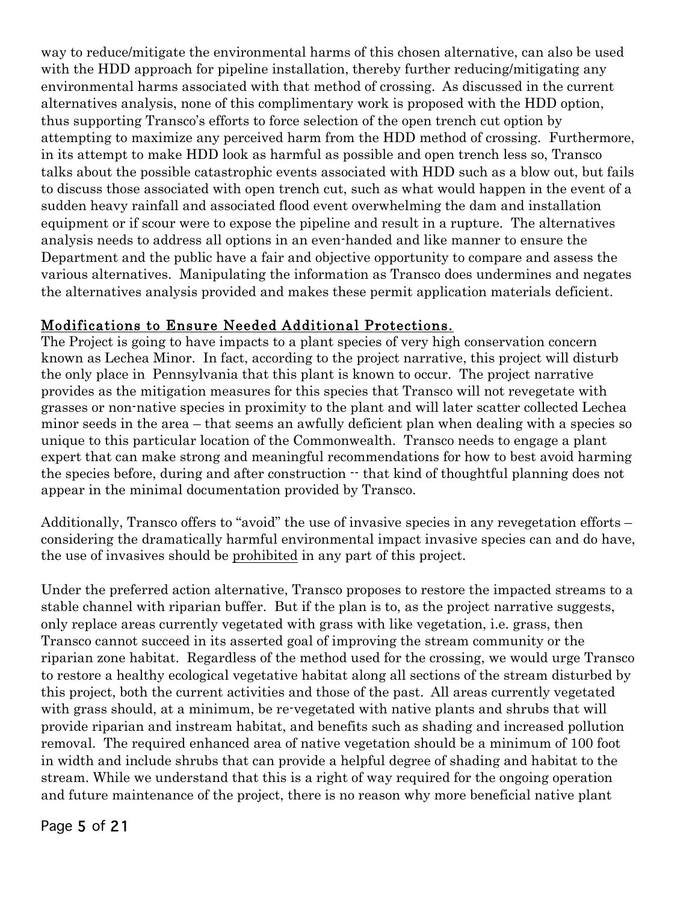way to reduce/mitigate the environmental harms of this chosen alternative, can also be used with the HDD approach for pipeline installation, thereby further reducing/mitigating any environmental harms associated with that method of crossing. As discussed in the current alternatives analysis, none of this complimentary work is proposed with the HDD option, thus supporting Transco's efforts to force selection of the open trench cut option by attempting to maximize any perceived harm from the HDD method of crossing. Furthermore, in its attempt to make HDD look as harmful as possible and open trench less so, Transco talks about the possible catastrophic events associated with HDD such as a blow out, but fails to discuss those associated with open trench cut, such as what would happen in the event of a sudden heavy rainfall and associated flood event overwhelming the dam and installation equipment or if scour were to expose the pipeline and result in a rupture. The alternatives analysis needs to address all options in an even-handed and like manner to ensure the Department and the public have a fair and objective opportunity to compare and assess the various alternatives. Manipulating the information as Transco does undermines and negates the alternatives analysis provided and makes these permit application materials deficient.

#### Modifications to Ensure Needed Additional Protections.

The Project is going to have impacts to a plant species of very high conservation concern known as Lechea Minor. In fact, according to the project narrative, this project will disturb the only place in Pennsylvania that this plant is known to occur. The project narrative provides as the mitigation measures for this species that Transco will not revegetate with grasses or non-native species in proximity to the plant and will later scatter collected Lechea minor seeds in the area – that seems an awfully deficient plan when dealing with a species so unique to this particular location of the Commonwealth. Transco needs to engage a plant expert that can make strong and meaningful recommendations for how to best avoid harming the species before, during and after construction -- that kind of thoughtful planning does not appear in the minimal documentation provided by Transco.

Additionally, Transco offers to "avoid" the use of invasive species in any revegetation efforts – considering the dramatically harmful environmental impact invasive species can and do have, the use of invasives should be prohibited in any part of this project.

Under the preferred action alternative, Transco proposes to restore the impacted streams to a stable channel with riparian buffer. But if the plan is to, as the project narrative suggests, only replace areas currently vegetated with grass with like vegetation, i.e. grass, then Transco cannot succeed in its asserted goal of improving the stream community or the riparian zone habitat. Regardless of the method used for the crossing, we would urge Transco to restore a healthy ecological vegetative habitat along all sections of the stream disturbed by this project, both the current activities and those of the past. All areas currently vegetated with grass should, at a minimum, be re-vegetated with native plants and shrubs that will provide riparian and instream habitat, and benefits such as shading and increased pollution removal. The required enhanced area of native vegetation should be a minimum of 100 foot in width and include shrubs that can provide a helpful degree of shading and habitat to the stream. While we understand that this is a right of way required for the ongoing operation and future maintenance of the project, there is no reason why more beneficial native plant

#### Page 5 of 21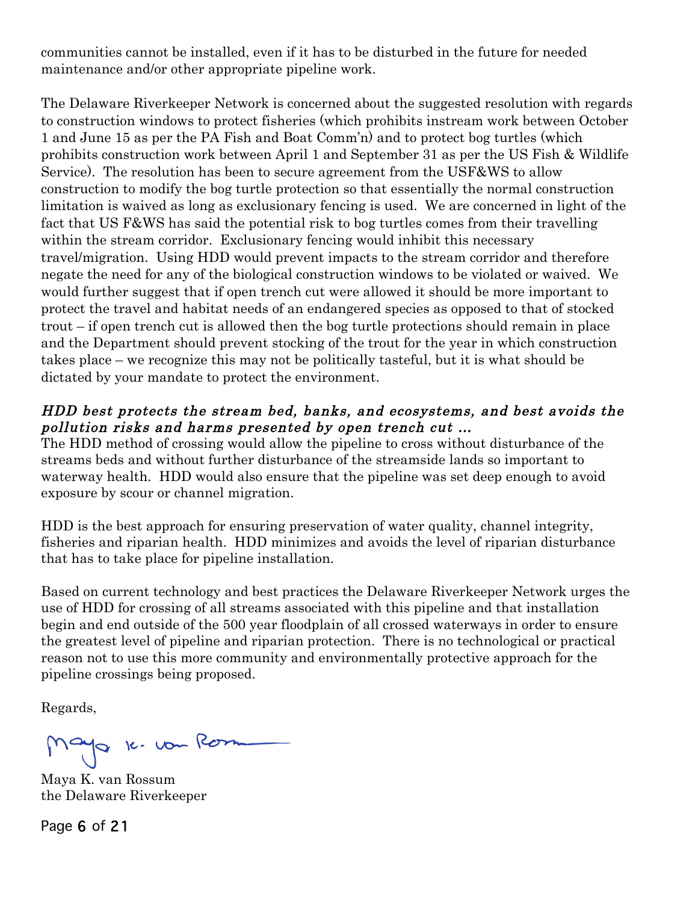communities cannot be installed, even if it has to be disturbed in the future for needed maintenance and/or other appropriate pipeline work.

The Delaware Riverkeeper Network is concerned about the suggested resolution with regards to construction windows to protect fisheries (which prohibits instream work between October 1 and June 15 as per the PA Fish and Boat Comm'n) and to protect bog turtles (which prohibits construction work between April 1 and September 31 as per the US Fish & Wildlife Service). The resolution has been to secure agreement from the USF&WS to allow construction to modify the bog turtle protection so that essentially the normal construction limitation is waived as long as exclusionary fencing is used. We are concerned in light of the fact that US F&WS has said the potential risk to bog turtles comes from their travelling within the stream corridor. Exclusionary fencing would inhibit this necessary travel/migration. Using HDD would prevent impacts to the stream corridor and therefore negate the need for any of the biological construction windows to be violated or waived. We would further suggest that if open trench cut were allowed it should be more important to protect the travel and habitat needs of an endangered species as opposed to that of stocked trout – if open trench cut is allowed then the bog turtle protections should remain in place and the Department should prevent stocking of the trout for the year in which construction takes place – we recognize this may not be politically tasteful, but it is what should be dictated by your mandate to protect the environment.

#### HDD best protects the stream bed, banks, and ecosystems, and best avoids the pollution risks and harms presented by open trench cut …

The HDD method of crossing would allow the pipeline to cross without disturbance of the streams beds and without further disturbance of the streamside lands so important to waterway health. HDD would also ensure that the pipeline was set deep enough to avoid exposure by scour or channel migration.

HDD is the best approach for ensuring preservation of water quality, channel integrity, fisheries and riparian health. HDD minimizes and avoids the level of riparian disturbance that has to take place for pipeline installation.

Based on current technology and best practices the Delaware Riverkeeper Network urges the use of HDD for crossing of all streams associated with this pipeline and that installation begin and end outside of the 500 year floodplain of all crossed waterways in order to ensure the greatest level of pipeline and riparian protection. There is no technological or practical reason not to use this more community and environmentally protective approach for the pipeline crossings being proposed.

Regards,

Mayo 16. vou Rom

Maya K. van Rossum the Delaware Riverkeeper

Page 6 of 21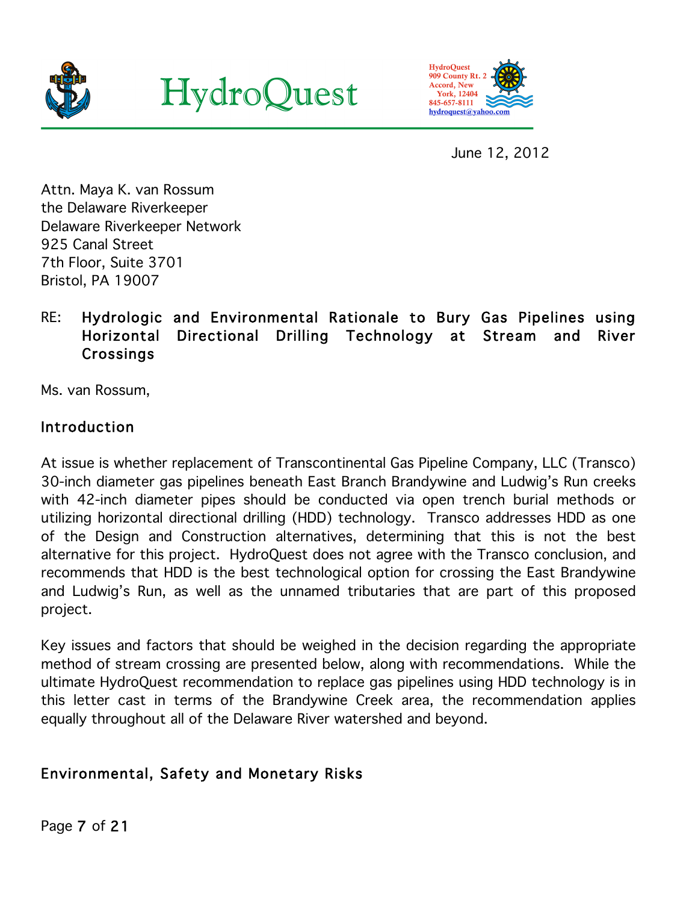





June 12, 2012

Attn. Maya K. van Rossum the Delaware Riverkeeper Delaware Riverkeeper Network 925 Canal Street 7th Floor, Suite 3701 Bristol, PA 19007

# RE: Hydrologic and Environmental Rationale to Bury Gas Pipelines using Horizontal Directional Drilling Technology at Stream and River Crossings

Ms. van Rossum,

### Introduction

At issue is whether replacement of Transcontinental Gas Pipeline Company, LLC (Transco) 30-inch diameter gas pipelines beneath East Branch Brandywine and Ludwig's Run creeks with 42-inch diameter pipes should be conducted via open trench burial methods or utilizing horizontal directional drilling (HDD) technology. Transco addresses HDD as one of the Design and Construction alternatives, determining that this is not the best alternative for this project. HydroQuest does not agree with the Transco conclusion, and recommends that HDD is the best technological option for crossing the East Brandywine and Ludwig's Run, as well as the unnamed tributaries that are part of this proposed project.

Key issues and factors that should be weighed in the decision regarding the appropriate method of stream crossing are presented below, along with recommendations. While the ultimate HydroQuest recommendation to replace gas pipelines using HDD technology is in this letter cast in terms of the Brandywine Creek area, the recommendation applies equally throughout all of the Delaware River watershed and beyond.

# Environmental, Safety and Monetary Risks

Page 7 of 21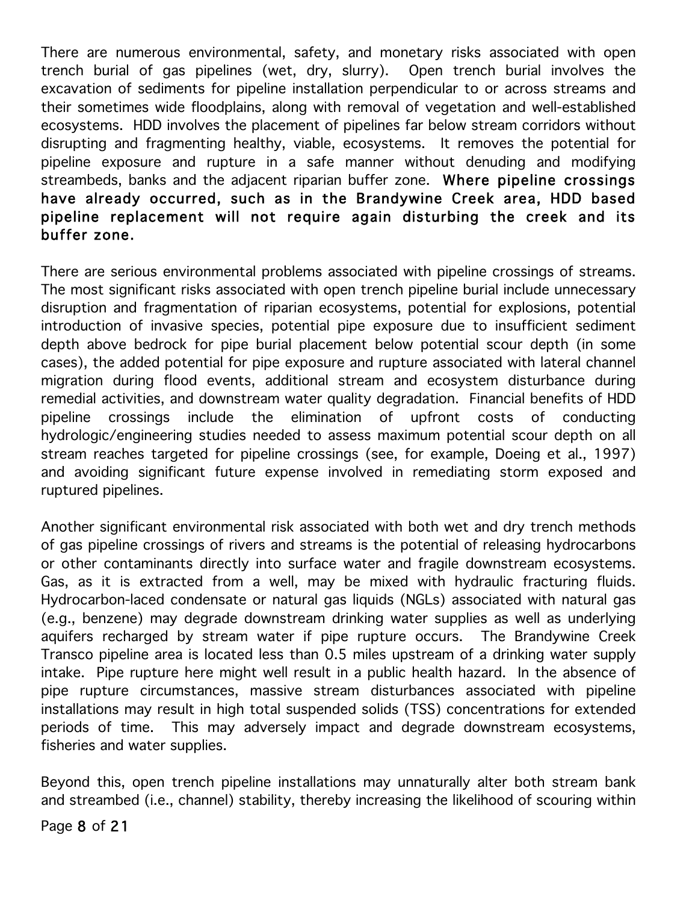There are numerous environmental, safety, and monetary risks associated with open trench burial of gas pipelines (wet, dry, slurry). Open trench burial involves the excavation of sediments for pipeline installation perpendicular to or across streams and their sometimes wide floodplains, along with removal of vegetation and well-established ecosystems. HDD involves the placement of pipelines far below stream corridors without disrupting and fragmenting healthy, viable, ecosystems. It removes the potential for pipeline exposure and rupture in a safe manner without denuding and modifying streambeds, banks and the adjacent riparian buffer zone. Where pipeline crossings have already occurred, such as in the Brandywine Creek area, HDD based pipeline replacement will not require again disturbing the creek and its buffer zone.

There are serious environmental problems associated with pipeline crossings of streams. The most significant risks associated with open trench pipeline burial include unnecessary disruption and fragmentation of riparian ecosystems, potential for explosions, potential introduction of invasive species, potential pipe exposure due to insufficient sediment depth above bedrock for pipe burial placement below potential scour depth (in some cases), the added potential for pipe exposure and rupture associated with lateral channel migration during flood events, additional stream and ecosystem disturbance during remedial activities, and downstream water quality degradation. Financial benefits of HDD pipeline crossings include the elimination of upfront costs of conducting hydrologic/engineering studies needed to assess maximum potential scour depth on all stream reaches targeted for pipeline crossings (see, for example, Doeing et al., 1997) and avoiding significant future expense involved in remediating storm exposed and ruptured pipelines.

Another significant environmental risk associated with both wet and dry trench methods of gas pipeline crossings of rivers and streams is the potential of releasing hydrocarbons or other contaminants directly into surface water and fragile downstream ecosystems. Gas, as it is extracted from a well, may be mixed with hydraulic fracturing fluids. Hydrocarbon-laced condensate or natural gas liquids (NGLs) associated with natural gas (e.g., benzene) may degrade downstream drinking water supplies as well as underlying aquifers recharged by stream water if pipe rupture occurs. The Brandywine Creek Transco pipeline area is located less than 0.5 miles upstream of a drinking water supply intake. Pipe rupture here might well result in a public health hazard. In the absence of pipe rupture circumstances, massive stream disturbances associated with pipeline installations may result in high total suspended solids (TSS) concentrations for extended periods of time. This may adversely impact and degrade downstream ecosystems, fisheries and water supplies.

Beyond this, open trench pipeline installations may unnaturally alter both stream bank and streambed (i.e., channel) stability, thereby increasing the likelihood of scouring within

Page 8 of 21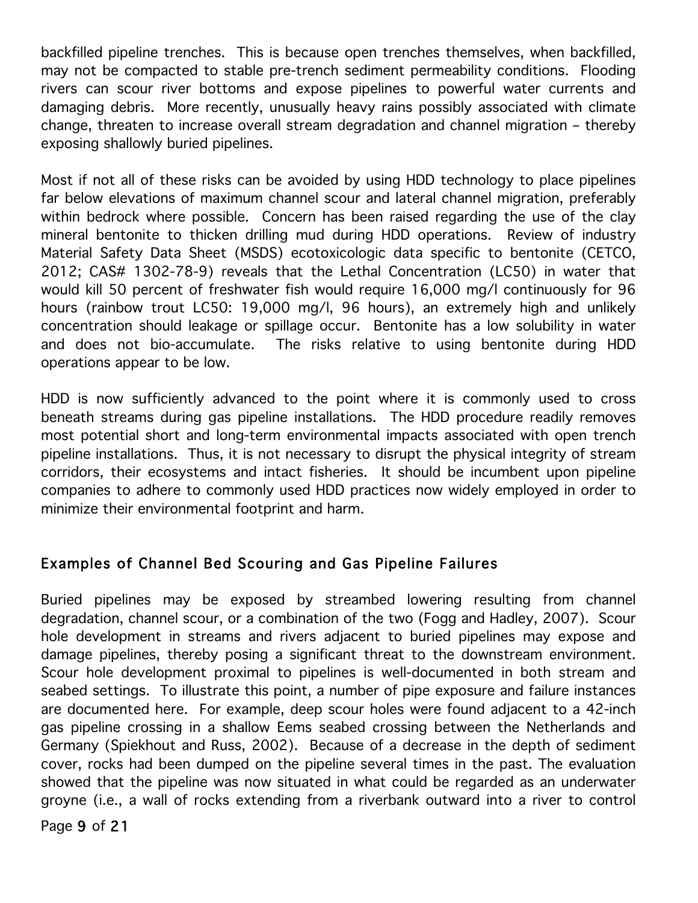backfilled pipeline trenches. This is because open trenches themselves, when backfilled, may not be compacted to stable pre-trench sediment permeability conditions. Flooding rivers can scour river bottoms and expose pipelines to powerful water currents and damaging debris. More recently, unusually heavy rains possibly associated with climate change, threaten to increase overall stream degradation and channel migration – thereby exposing shallowly buried pipelines.

Most if not all of these risks can be avoided by using HDD technology to place pipelines far below elevations of maximum channel scour and lateral channel migration, preferably within bedrock where possible. Concern has been raised regarding the use of the clay mineral bentonite to thicken drilling mud during HDD operations. Review of industry Material Safety Data Sheet (MSDS) ecotoxicologic data specific to bentonite (CETCO, 2012; CAS# 1302-78-9) reveals that the Lethal Concentration (LC50) in water that would kill 50 percent of freshwater fish would require 16,000 mg/l continuously for 96 hours (rainbow trout LC50: 19,000 mg/l, 96 hours), an extremely high and unlikely concentration should leakage or spillage occur. Bentonite has a low solubility in water and does not bio-accumulate. The risks relative to using bentonite during HDD operations appear to be low.

HDD is now sufficiently advanced to the point where it is commonly used to cross beneath streams during gas pipeline installations. The HDD procedure readily removes most potential short and long-term environmental impacts associated with open trench pipeline installations. Thus, it is not necessary to disrupt the physical integrity of stream corridors, their ecosystems and intact fisheries. It should be incumbent upon pipeline companies to adhere to commonly used HDD practices now widely employed in order to minimize their environmental footprint and harm.

## Examples of Channel Bed Scouring and Gas Pipeline Failures

Buried pipelines may be exposed by streambed lowering resulting from channel degradation, channel scour, or a combination of the two (Fogg and Hadley, 2007). Scour hole development in streams and rivers adjacent to buried pipelines may expose and damage pipelines, thereby posing a significant threat to the downstream environment. Scour hole development proximal to pipelines is well-documented in both stream and seabed settings. To illustrate this point, a number of pipe exposure and failure instances are documented here. For example, deep scour holes were found adjacent to a 42-inch gas pipeline crossing in a shallow Eems seabed crossing between the Netherlands and Germany (Spiekhout and Russ, 2002). Because of a decrease in the depth of sediment cover, rocks had been dumped on the pipeline several times in the past. The evaluation showed that the pipeline was now situated in what could be regarded as an underwater groyne (i.e., a wall of rocks extending from a riverbank outward into a river to control

Page 9 of 21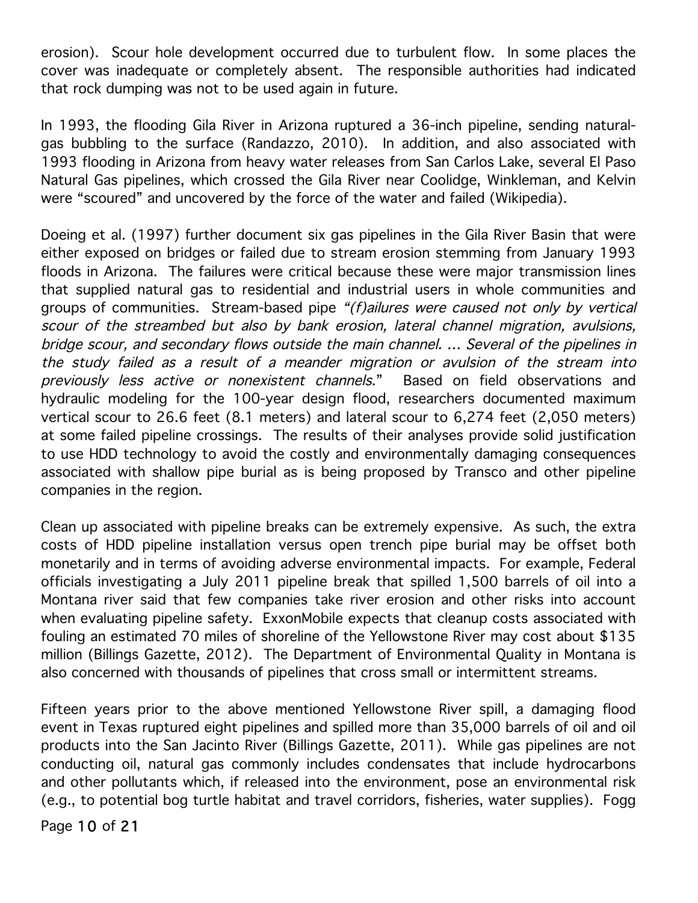erosion). Scour hole development occurred due to turbulent flow. In some places the cover was inadequate or completely absent. The responsible authorities had indicated that rock dumping was not to be used again in future.

In 1993, the flooding Gila River in Arizona ruptured a 36-inch pipeline, sending naturalgas bubbling to the surface (Randazzo, 2010). In addition, and also associated with 1993 flooding in Arizona from heavy water releases from San Carlos Lake, several El Paso Natural Gas pipelines, which crossed the Gila River near Coolidge, Winkleman, and Kelvin were "scoured" and uncovered by the force of the water and failed (Wikipedia).

Doeing et al. (1997) further document six gas pipelines in the Gila River Basin that were either exposed on bridges or failed due to stream erosion stemming from January 1993 floods in Arizona. The failures were critical because these were major transmission lines that supplied natural gas to residential and industrial users in whole communities and groups of communities. Stream-based pipe "(f)ailures were caused not only by vertical scour of the streambed but also by bank erosion, lateral channel migration, avulsions, bridge scour, and secondary flows outside the main channel. … Several of the pipelines in the study failed as a result of a meander migration or avulsion of the stream into previously less active or nonexistent channels." Based on field observations and hydraulic modeling for the 100-year design flood, researchers documented maximum vertical scour to 26.6 feet (8.1 meters) and lateral scour to 6,274 feet (2,050 meters) at some failed pipeline crossings. The results of their analyses provide solid justification to use HDD technology to avoid the costly and environmentally damaging consequences associated with shallow pipe burial as is being proposed by Transco and other pipeline companies in the region.

Clean up associated with pipeline breaks can be extremely expensive. As such, the extra costs of HDD pipeline installation versus open trench pipe burial may be offset both monetarily and in terms of avoiding adverse environmental impacts. For example, Federal officials investigating a July 2011 pipeline break that spilled 1,500 barrels of oil into a Montana river said that few companies take river erosion and other risks into account when evaluating pipeline safety. ExxonMobile expects that cleanup costs associated with fouling an estimated 70 miles of shoreline of the Yellowstone River may cost about \$135 million (Billings Gazette, 2012). The Department of Environmental Quality in Montana is also concerned with thousands of pipelines that cross small or intermittent streams.

Fifteen years prior to the above mentioned Yellowstone River spill, a damaging flood event in Texas ruptured eight pipelines and spilled more than 35,000 barrels of oil and oil products into the San Jacinto River (Billings Gazette, 2011). While gas pipelines are not conducting oil, natural gas commonly includes condensates that include hydrocarbons and other pollutants which, if released into the environment, pose an environmental risk (e.g., to potential bog turtle habitat and travel corridors, fisheries, water supplies). Fogg

Page 10 of 21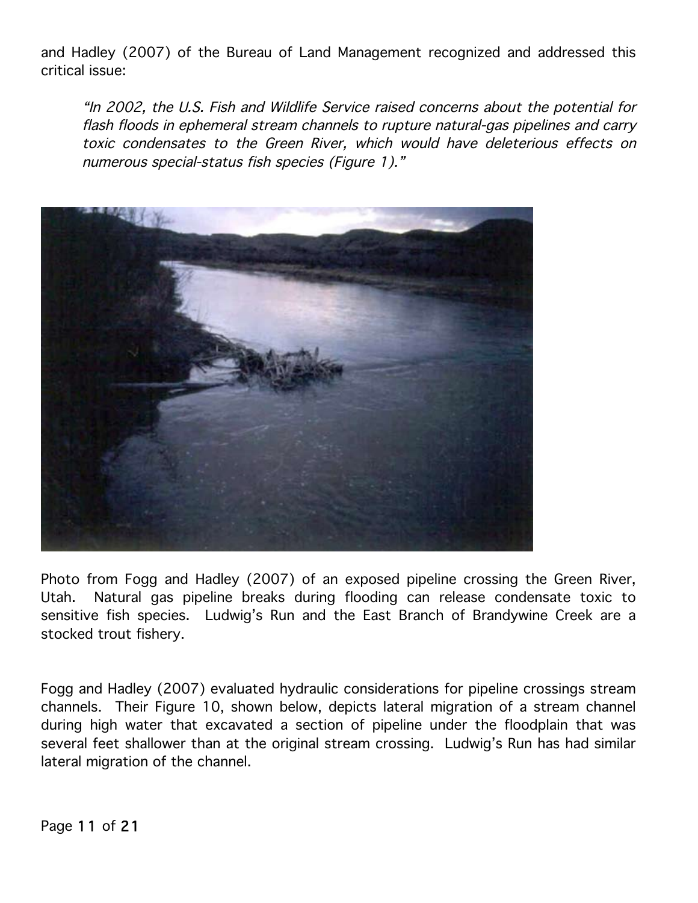and Hadley (2007) of the Bureau of Land Management recognized and addressed this critical issue:

"In 2002, the U.S. Fish and Wildlife Service raised concerns about the potential for flash floods in ephemeral stream channels to rupture natural-gas pipelines and carry toxic condensates to the Green River, which would have deleterious effects on numerous special-status fish species (Figure 1)."



Photo from Fogg and Hadley (2007) of an exposed pipeline crossing the Green River, Utah. Natural gas pipeline breaks during flooding can release condensate toxic to sensitive fish species. Ludwig's Run and the East Branch of Brandywine Creek are a stocked trout fishery.

Fogg and Hadley (2007) evaluated hydraulic considerations for pipeline crossings stream channels. Their Figure 10, shown below, depicts lateral migration of a stream channel during high water that excavated a section of pipeline under the floodplain that was several feet shallower than at the original stream crossing. Ludwig's Run has had similar lateral migration of the channel.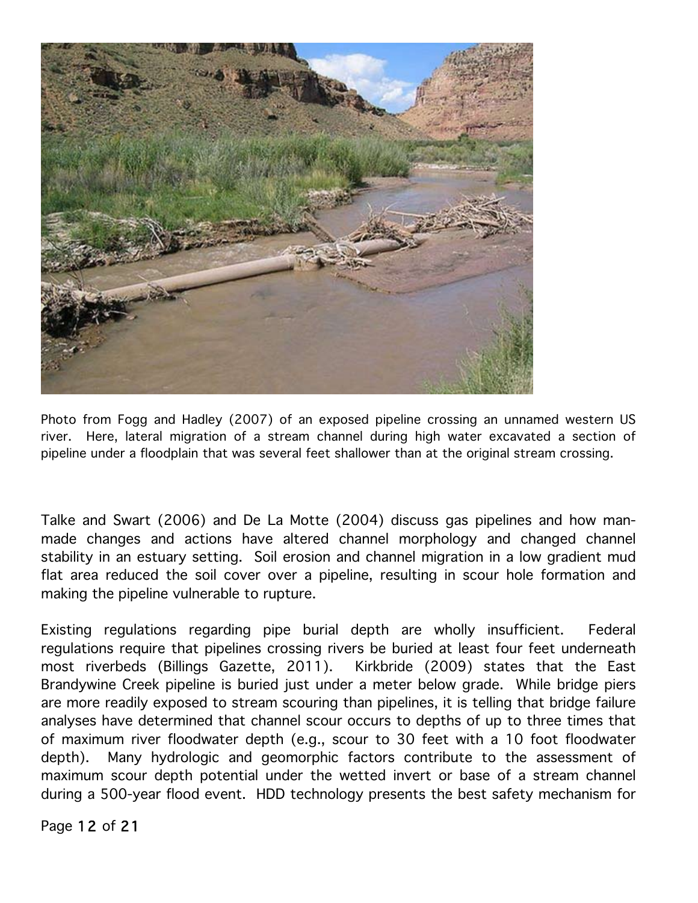

Photo from Fogg and Hadley (2007) of an exposed pipeline crossing an unnamed western US river. Here, lateral migration of a stream channel during high water excavated a section of pipeline under a floodplain that was several feet shallower than at the original stream crossing.

Talke and Swart (2006) and De La Motte (2004) discuss gas pipelines and how manmade changes and actions have altered channel morphology and changed channel stability in an estuary setting. Soil erosion and channel migration in a low gradient mud flat area reduced the soil cover over a pipeline, resulting in scour hole formation and making the pipeline vulnerable to rupture.

Existing regulations regarding pipe burial depth are wholly insufficient. Federal regulations require that pipelines crossing rivers be buried at least four feet underneath most riverbeds (Billings Gazette, 2011). Kirkbride (2009) states that the East Brandywine Creek pipeline is buried just under a meter below grade. While bridge piers are more readily exposed to stream scouring than pipelines, it is telling that bridge failure analyses have determined that channel scour occurs to depths of up to three times that of maximum river floodwater depth (e.g., scour to 30 feet with a 10 foot floodwater depth). Many hydrologic and geomorphic factors contribute to the assessment of maximum scour depth potential under the wetted invert or base of a stream channel during a 500-year flood event. HDD technology presents the best safety mechanism for

Page 12 of 21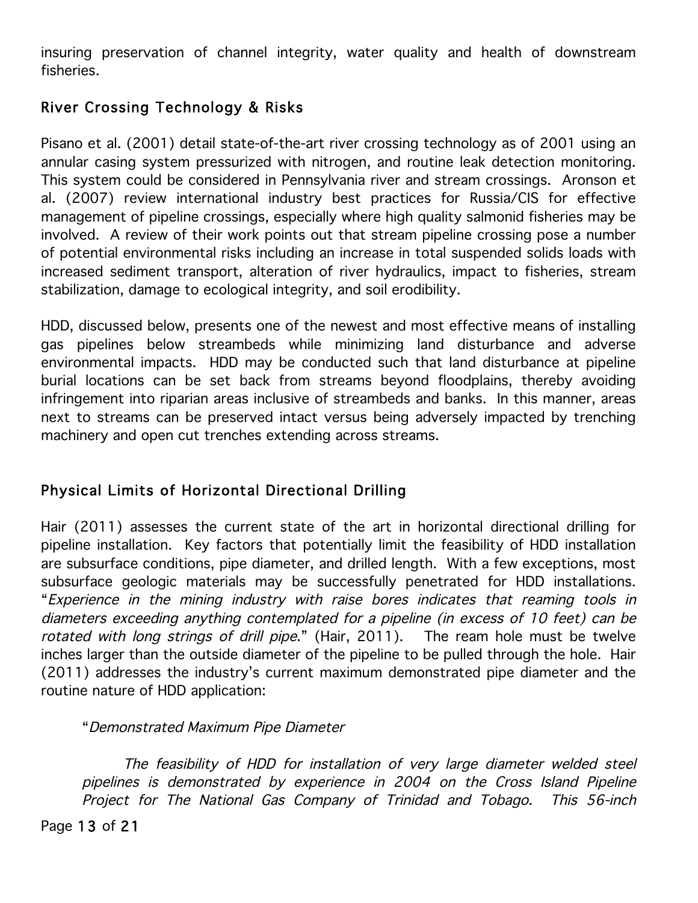insuring preservation of channel integrity, water quality and health of downstream fisheries.

# River Crossing Technology & Risks

Pisano et al. (2001) detail state-of-the-art river crossing technology as of 2001 using an annular casing system pressurized with nitrogen, and routine leak detection monitoring. This system could be considered in Pennsylvania river and stream crossings. Aronson et al. (2007) review international industry best practices for Russia/CIS for effective management of pipeline crossings, especially where high quality salmonid fisheries may be involved. A review of their work points out that stream pipeline crossing pose a number of potential environmental risks including an increase in total suspended solids loads with increased sediment transport, alteration of river hydraulics, impact to fisheries, stream stabilization, damage to ecological integrity, and soil erodibility.

HDD, discussed below, presents one of the newest and most effective means of installing gas pipelines below streambeds while minimizing land disturbance and adverse environmental impacts. HDD may be conducted such that land disturbance at pipeline burial locations can be set back from streams beyond floodplains, thereby avoiding infringement into riparian areas inclusive of streambeds and banks. In this manner, areas next to streams can be preserved intact versus being adversely impacted by trenching machinery and open cut trenches extending across streams.

# Physical Limits of Horizontal Directional Drilling

Hair (2011) assesses the current state of the art in horizontal directional drilling for pipeline installation. Key factors that potentially limit the feasibility of HDD installation are subsurface conditions, pipe diameter, and drilled length. With a few exceptions, most subsurface geologic materials may be successfully penetrated for HDD installations. "Experience in the mining industry with raise bores indicates that reaming tools in diameters exceeding anything contemplated for a pipeline (in excess of 10 feet) can be rotated with long strings of drill pipe." (Hair, 2011). The ream hole must be twelve inches larger than the outside diameter of the pipeline to be pulled through the hole. Hair (2011) addresses the industry's current maximum demonstrated pipe diameter and the routine nature of HDD application:

"Demonstrated Maximum Pipe Diameter

The feasibility of HDD for installation of very large diameter welded steel pipelines is demonstrated by experience in 2004 on the Cross Island Pipeline Project for The National Gas Company of Trinidad and Tobago. This 56-inch

Page 13 of 21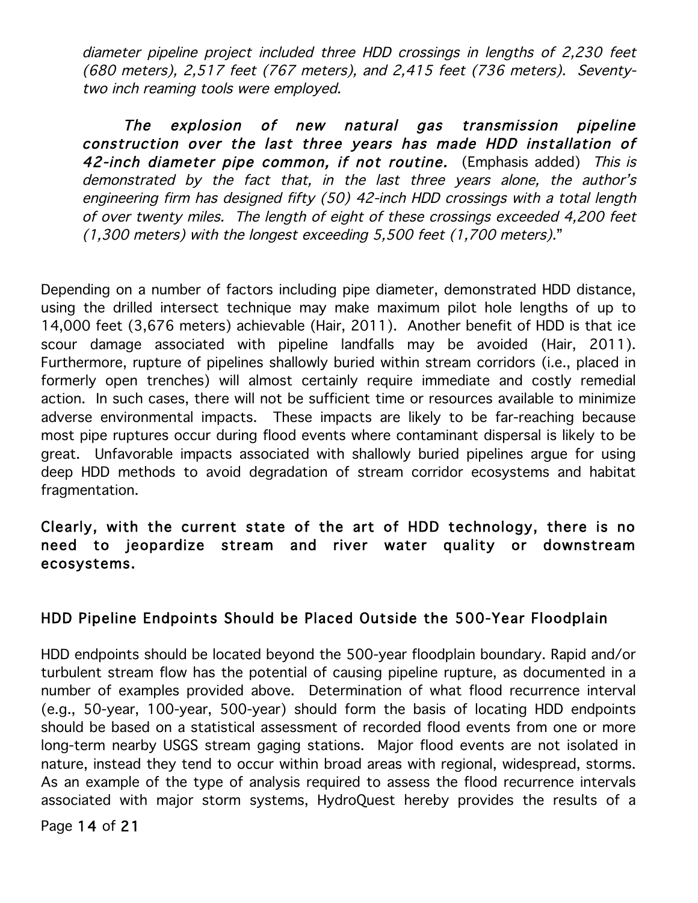diameter pipeline project included three HDD crossings in lengths of 2,230 feet (680 meters), 2,517 feet (767 meters), and 2,415 feet (736 meters). Seventytwo inch reaming tools were employed.

The explosion of new natural gas transmission pipeline construction over the last three years has made HDD installation of 42-inch diameter pipe common, if not routine. (Emphasis added) This is demonstrated by the fact that, in the last three years alone, the author's engineering firm has designed fifty (50) 42-inch HDD crossings with a total length of over twenty miles. The length of eight of these crossings exceeded 4,200 feet (1,300 meters) with the longest exceeding 5,500 feet (1,700 meters)."

Depending on a number of factors including pipe diameter, demonstrated HDD distance, using the drilled intersect technique may make maximum pilot hole lengths of up to 14,000 feet (3,676 meters) achievable (Hair, 2011). Another benefit of HDD is that ice scour damage associated with pipeline landfalls may be avoided (Hair, 2011). Furthermore, rupture of pipelines shallowly buried within stream corridors (i.e., placed in formerly open trenches) will almost certainly require immediate and costly remedial action. In such cases, there will not be sufficient time or resources available to minimize adverse environmental impacts. These impacts are likely to be far-reaching because most pipe ruptures occur during flood events where contaminant dispersal is likely to be great. Unfavorable impacts associated with shallowly buried pipelines argue for using deep HDD methods to avoid degradation of stream corridor ecosystems and habitat fragmentation.

## Clearly, with the current state of the art of HDD technology, there is no need to jeopardize stream and river water quality or downstream ecosystems.

## HDD Pipeline Endpoints Should be Placed Outside the 500-Year Floodplain

HDD endpoints should be located beyond the 500-year floodplain boundary. Rapid and/or turbulent stream flow has the potential of causing pipeline rupture, as documented in a number of examples provided above. Determination of what flood recurrence interval (e.g., 50-year, 100-year, 500-year) should form the basis of locating HDD endpoints should be based on a statistical assessment of recorded flood events from one or more long-term nearby USGS stream gaging stations. Major flood events are not isolated in nature, instead they tend to occur within broad areas with regional, widespread, storms. As an example of the type of analysis required to assess the flood recurrence intervals associated with major storm systems, HydroQuest hereby provides the results of a

Page 14 of 21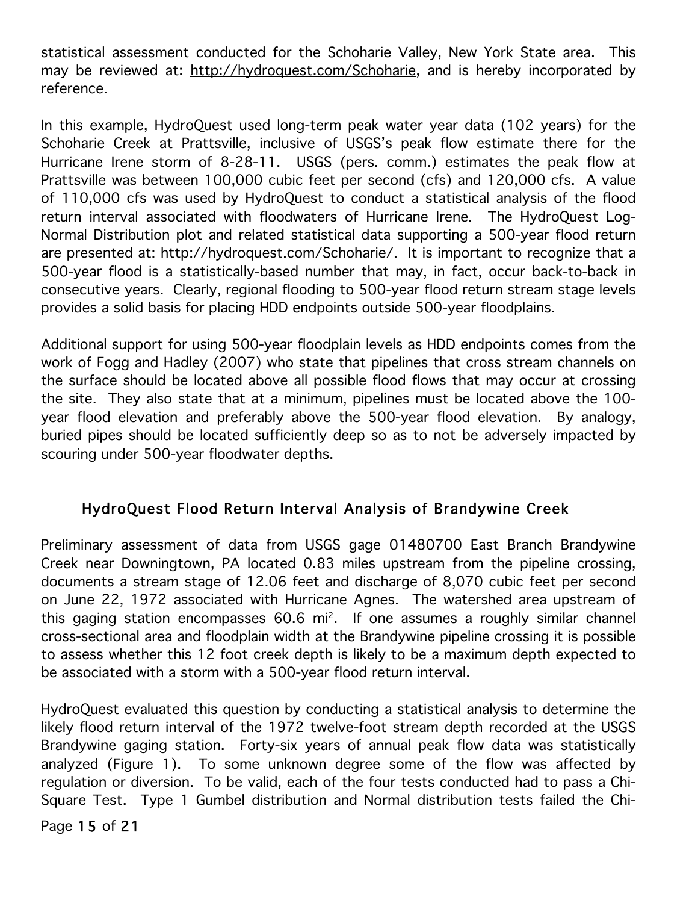statistical assessment conducted for the Schoharie Valley, New York State area. This may be reviewed at: http://hydroquest.com/Schoharie, and is hereby incorporated by reference.

In this example, HydroQuest used long-term peak water year data (102 years) for the Schoharie Creek at Prattsville, inclusive of USGS's peak flow estimate there for the Hurricane Irene storm of 8-28-11. USGS (pers. comm.) estimates the peak flow at Prattsville was between 100,000 cubic feet per second (cfs) and 120,000 cfs. A value of 110,000 cfs was used by HydroQuest to conduct a statistical analysis of the flood return interval associated with floodwaters of Hurricane Irene. The HydroQuest Log-Normal Distribution plot and related statistical data supporting a 500-year flood return are presented at: http://hydroquest.com/Schoharie/. It is important to recognize that a 500-year flood is a statistically-based number that may, in fact, occur back-to-back in consecutive years. Clearly, regional flooding to 500-year flood return stream stage levels provides a solid basis for placing HDD endpoints outside 500-year floodplains.

Additional support for using 500-year floodplain levels as HDD endpoints comes from the work of Fogg and Hadley (2007) who state that pipelines that cross stream channels on the surface should be located above all possible flood flows that may occur at crossing the site. They also state that at a minimum, pipelines must be located above the 100 year flood elevation and preferably above the 500-year flood elevation. By analogy, buried pipes should be located sufficiently deep so as to not be adversely impacted by scouring under 500-year floodwater depths.

## HydroQuest Flood Return Interval Analysis of Brandywine Creek

Preliminary assessment of data from USGS gage 01480700 East Branch Brandywine Creek near Downingtown, PA located 0.83 miles upstream from the pipeline crossing, documents a stream stage of 12.06 feet and discharge of 8,070 cubic feet per second on June 22, 1972 associated with Hurricane Agnes. The watershed area upstream of this gaging station encompasses 60.6 mi2. If one assumes a roughly similar channel cross-sectional area and floodplain width at the Brandywine pipeline crossing it is possible to assess whether this 12 foot creek depth is likely to be a maximum depth expected to be associated with a storm with a 500-year flood return interval.

HydroQuest evaluated this question by conducting a statistical analysis to determine the likely flood return interval of the 1972 twelve-foot stream depth recorded at the USGS Brandywine gaging station. Forty-six years of annual peak flow data was statistically analyzed (Figure 1). To some unknown degree some of the flow was affected by regulation or diversion. To be valid, each of the four tests conducted had to pass a Chi-Square Test. Type 1 Gumbel distribution and Normal distribution tests failed the Chi-

Page 15 of 21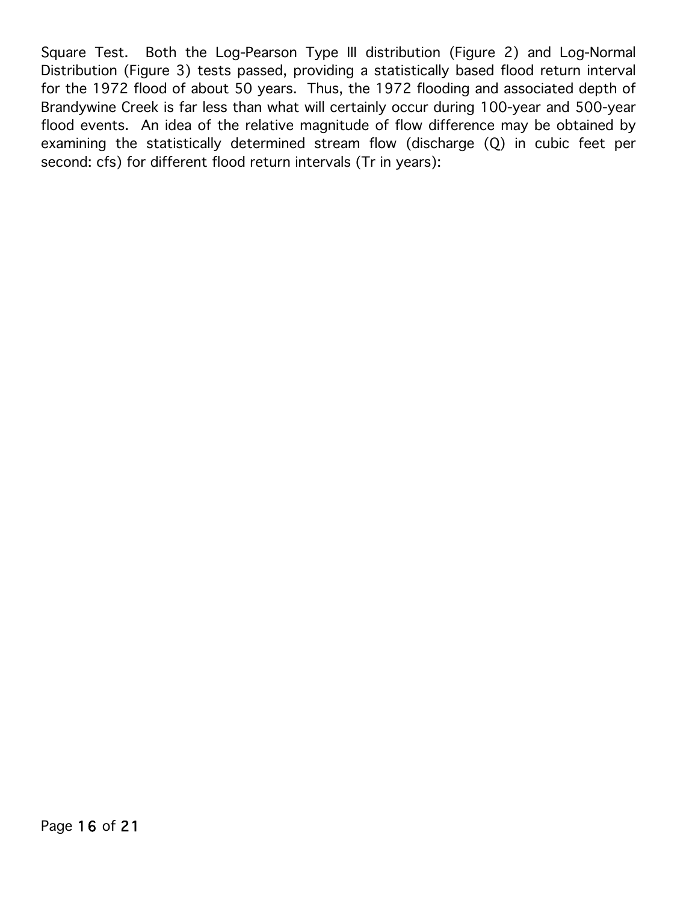Square Test. Both the Log-Pearson Type III distribution (Figure 2) and Log-Normal Distribution (Figure 3) tests passed, providing a statistically based flood return interval for the 1972 flood of about 50 years. Thus, the 1972 flooding and associated depth of Brandywine Creek is far less than what will certainly occur during 100-year and 500-year flood events. An idea of the relative magnitude of flow difference may be obtained by examining the statistically determined stream flow (discharge (Q) in cubic feet per second: cfs) for different flood return intervals (Tr in years):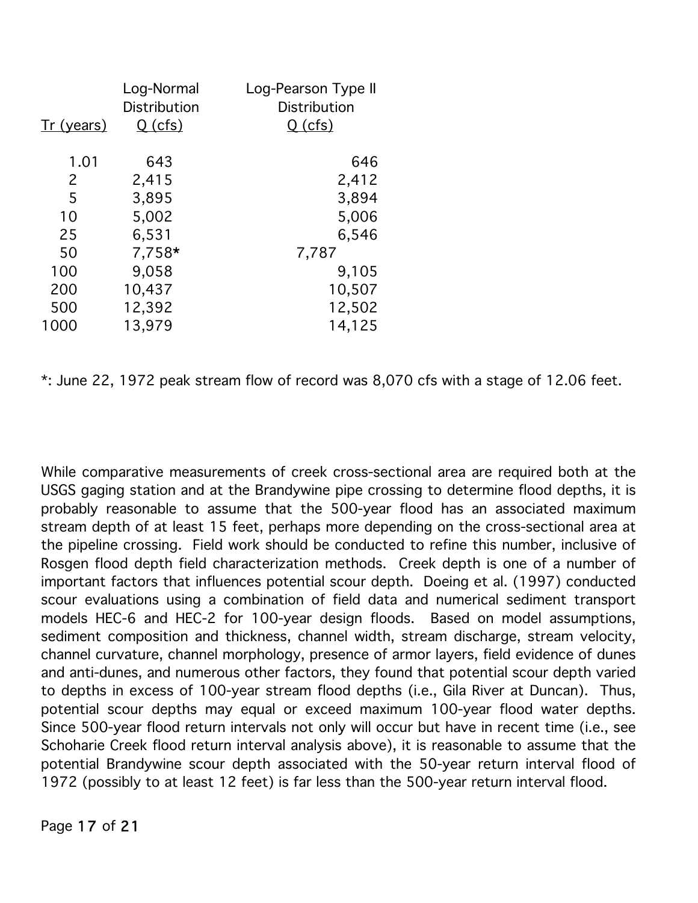|            | Log-Normal<br>Distribution | Log-Pearson Type II<br>Distribution |
|------------|----------------------------|-------------------------------------|
| Tr (years) | <u>Q (cfs)</u>             | <u>Q (cfs)</u>                      |
| 1.01       | 643                        | 646                                 |
| 2          | 2,415                      | 2,412                               |
| 5          | 3,895                      | 3,894                               |
| 10         | 5,002                      | 5,006                               |
| 25         | 6,531                      | 6,546                               |
| 50         | 7,758*                     | 7,787                               |
| 100        | 9,058                      | 9,105                               |
| 200        | 10,437                     | 10,507                              |
| 500        | 12,392                     | 12,502                              |
| 1000       | 13,979                     | 14,125                              |

\*: June 22, 1972 peak stream flow of record was 8,070 cfs with a stage of 12.06 feet.

While comparative measurements of creek cross-sectional area are required both at the USGS gaging station and at the Brandywine pipe crossing to determine flood depths, it is probably reasonable to assume that the 500-year flood has an associated maximum stream depth of at least 15 feet, perhaps more depending on the cross-sectional area at the pipeline crossing. Field work should be conducted to refine this number, inclusive of Rosgen flood depth field characterization methods. Creek depth is one of a number of important factors that influences potential scour depth. Doeing et al. (1997) conducted scour evaluations using a combination of field data and numerical sediment transport models HEC-6 and HEC-2 for 100-year design floods. Based on model assumptions, sediment composition and thickness, channel width, stream discharge, stream velocity, channel curvature, channel morphology, presence of armor layers, field evidence of dunes and anti-dunes, and numerous other factors, they found that potential scour depth varied to depths in excess of 100-year stream flood depths (i.e., Gila River at Duncan). Thus, potential scour depths may equal or exceed maximum 100-year flood water depths. Since 500-year flood return intervals not only will occur but have in recent time (i.e., see Schoharie Creek flood return interval analysis above), it is reasonable to assume that the potential Brandywine scour depth associated with the 50-year return interval flood of 1972 (possibly to at least 12 feet) is far less than the 500-year return interval flood.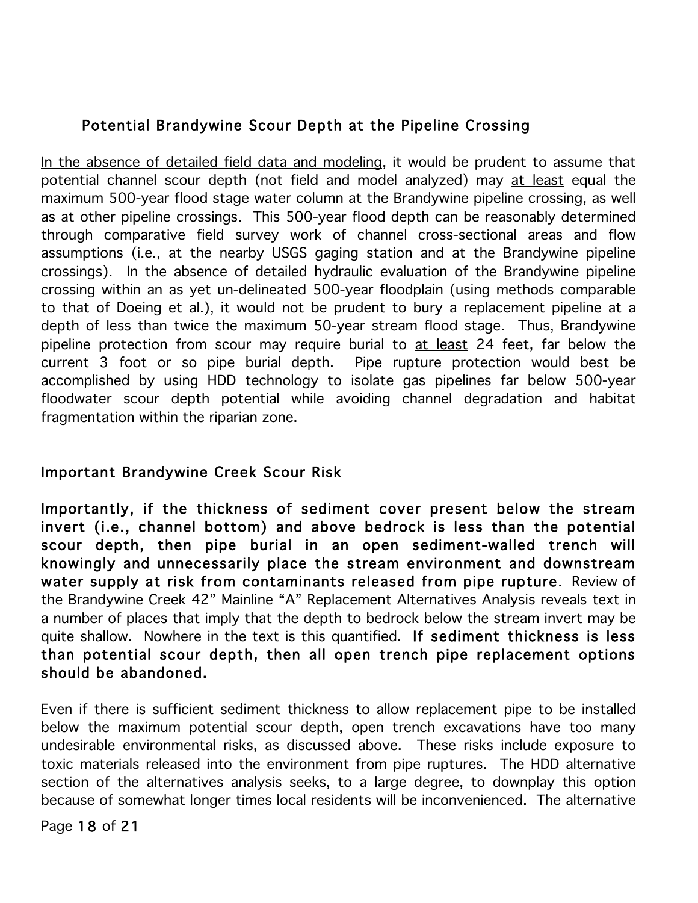# Potential Brandywine Scour Depth at the Pipeline Crossing

In the absence of detailed field data and modeling, it would be prudent to assume that potential channel scour depth (not field and model analyzed) may at least equal the maximum 500-year flood stage water column at the Brandywine pipeline crossing, as well as at other pipeline crossings. This 500-year flood depth can be reasonably determined through comparative field survey work of channel cross-sectional areas and flow assumptions (i.e., at the nearby USGS gaging station and at the Brandywine pipeline crossings). In the absence of detailed hydraulic evaluation of the Brandywine pipeline crossing within an as yet un-delineated 500-year floodplain (using methods comparable to that of Doeing et al.), it would not be prudent to bury a replacement pipeline at a depth of less than twice the maximum 50-year stream flood stage. Thus, Brandywine pipeline protection from scour may require burial to at least 24 feet, far below the current 3 foot or so pipe burial depth. Pipe rupture protection would best be accomplished by using HDD technology to isolate gas pipelines far below 500-year floodwater scour depth potential while avoiding channel degradation and habitat fragmentation within the riparian zone.

## Important Brandywine Creek Scour Risk

Importantly, if the thickness of sediment cover present below the stream invert (i.e., channel bottom) and above bedrock is less than the potential scour depth, then pipe burial in an open sediment-walled trench will knowingly and unnecessarily place the stream environment and downstream water supply at risk from contaminants released from pipe rupture. Review of the Brandywine Creek 42" Mainline "A" Replacement Alternatives Analysis reveals text in a number of places that imply that the depth to bedrock below the stream invert may be quite shallow. Nowhere in the text is this quantified. If sediment thickness is less than potential scour depth, then all open trench pipe replacement options should be abandoned.

Even if there is sufficient sediment thickness to allow replacement pipe to be installed below the maximum potential scour depth, open trench excavations have too many undesirable environmental risks, as discussed above. These risks include exposure to toxic materials released into the environment from pipe ruptures. The HDD alternative section of the alternatives analysis seeks, to a large degree, to downplay this option because of somewhat longer times local residents will be inconvenienced. The alternative

Page 18 of 21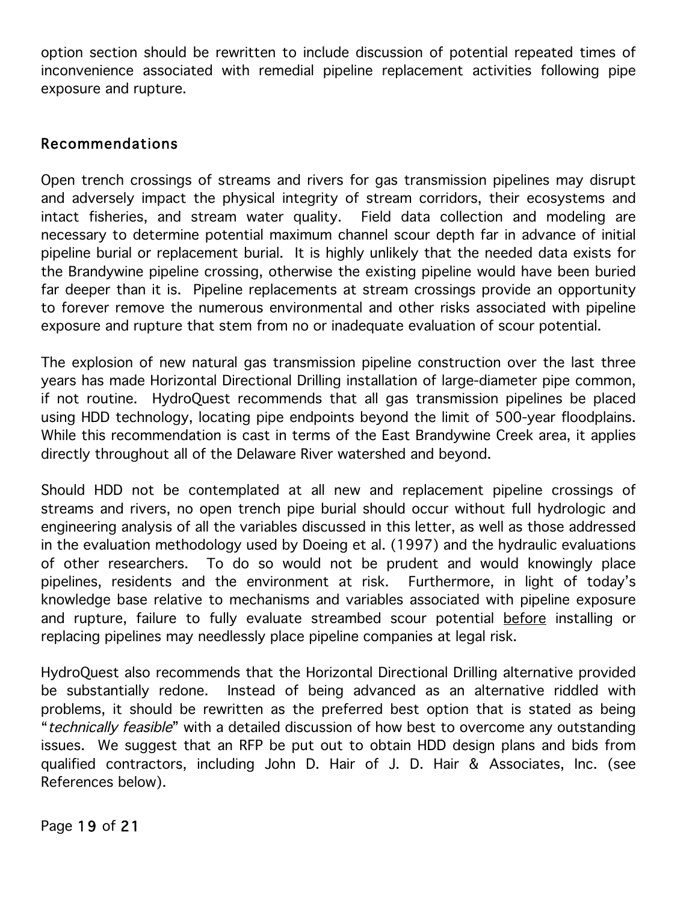option section should be rewritten to include discussion of potential repeated times of inconvenience associated with remedial pipeline replacement activities following pipe exposure and rupture.

#### Recommendations

Open trench crossings of streams and rivers for gas transmission pipelines may disrupt and adversely impact the physical integrity of stream corridors, their ecosystems and intact fisheries, and stream water quality. Field data collection and modeling are necessary to determine potential maximum channel scour depth far in advance of initial pipeline burial or replacement burial. It is highly unlikely that the needed data exists for the Brandywine pipeline crossing, otherwise the existing pipeline would have been buried far deeper than it is. Pipeline replacements at stream crossings provide an opportunity to forever remove the numerous environmental and other risks associated with pipeline exposure and rupture that stem from no or inadequate evaluation of scour potential.

The explosion of new natural gas transmission pipeline construction over the last three years has made Horizontal Directional Drilling installation of large-diameter pipe common, if not routine. HydroQuest recommends that all gas transmission pipelines be placed using HDD technology, locating pipe endpoints beyond the limit of 500-year floodplains. While this recommendation is cast in terms of the East Brandywine Creek area, it applies directly throughout all of the Delaware River watershed and beyond.

Should HDD not be contemplated at all new and replacement pipeline crossings of streams and rivers, no open trench pipe burial should occur without full hydrologic and engineering analysis of all the variables discussed in this letter, as well as those addressed in the evaluation methodology used by Doeing et al. (1997) and the hydraulic evaluations of other researchers. To do so would not be prudent and would knowingly place pipelines, residents and the environment at risk. Furthermore, in light of today's knowledge base relative to mechanisms and variables associated with pipeline exposure and rupture, failure to fully evaluate streambed scour potential before installing or replacing pipelines may needlessly place pipeline companies at legal risk.

HydroQuest also recommends that the Horizontal Directional Drilling alternative provided be substantially redone. Instead of being advanced as an alternative riddled with problems, it should be rewritten as the preferred best option that is stated as being "technically feasible" with a detailed discussion of how best to overcome any outstanding issues. We suggest that an RFP be put out to obtain HDD design plans and bids from qualified contractors, including John D. Hair of J. D. Hair & Associates, Inc. (see References below).

Page 19 of 21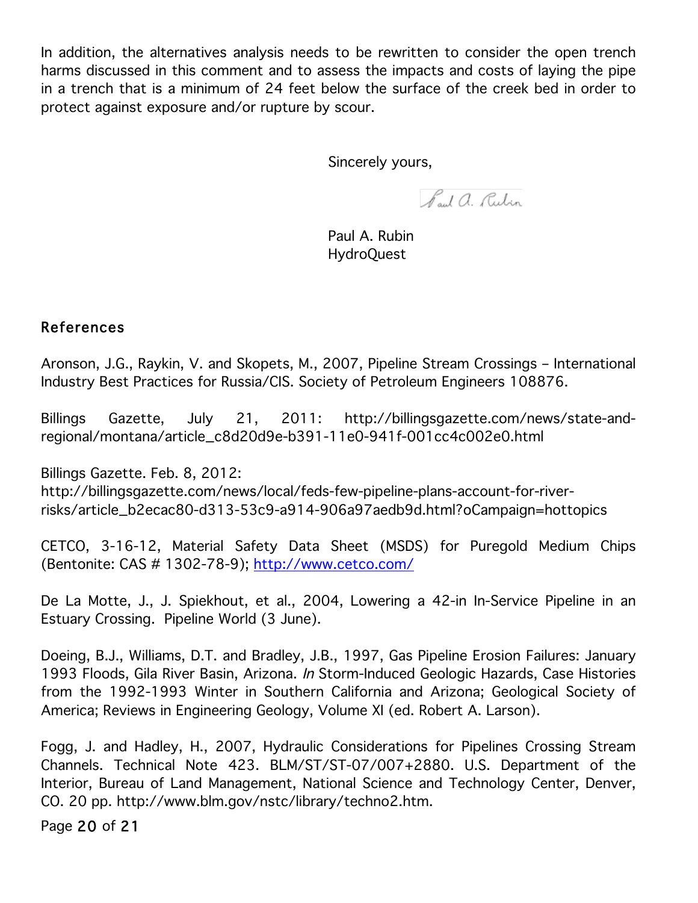In addition, the alternatives analysis needs to be rewritten to consider the open trench harms discussed in this comment and to assess the impacts and costs of laying the pipe in a trench that is a minimum of 24 feet below the surface of the creek bed in order to protect against exposure and/or rupture by scour.

Sincerely yours,

Paul a. Rubin

 Paul A. Rubin HydroQuest

#### References

Aronson, J.G., Raykin, V. and Skopets, M., 2007, Pipeline Stream Crossings – International Industry Best Practices for Russia/CIS. Society of Petroleum Engineers 108876.

Billings Gazette, July 21, 2011: http://billingsgazette.com/news/state-andregional/montana/article\_c8d20d9e-b391-11e0-941f-001cc4c002e0.html

Billings Gazette. Feb. 8, 2012: http://billingsgazette.com/news/local/feds-few-pipeline-plans-account-for-riverrisks/article\_b2ecac80-d313-53c9-a914-906a97aedb9d.html?oCampaign=hottopics

CETCO, 3-16-12, Material Safety Data Sheet (MSDS) for Puregold Medium Chips (Bentonite: CAS # 1302-78-9); http://www.cetco.com/

De La Motte, J., J. Spiekhout, et al., 2004, Lowering a 42-in In-Service Pipeline in an Estuary Crossing. Pipeline World (3 June).

Doeing, B.J., Williams, D.T. and Bradley, J.B., 1997, Gas Pipeline Erosion Failures: January 1993 Floods, Gila River Basin, Arizona. In Storm-Induced Geologic Hazards, Case Histories from the 1992-1993 Winter in Southern California and Arizona; Geological Society of America; Reviews in Engineering Geology, Volume XI (ed. Robert A. Larson).

Fogg, J. and Hadley, H., 2007, Hydraulic Considerations for Pipelines Crossing Stream Channels. Technical Note 423. BLM/ST/ST-07/007+2880. U.S. Department of the Interior, Bureau of Land Management, National Science and Technology Center, Denver, CO. 20 pp. http://www.blm.gov/nstc/library/techno2.htm.

Page 20 of 21